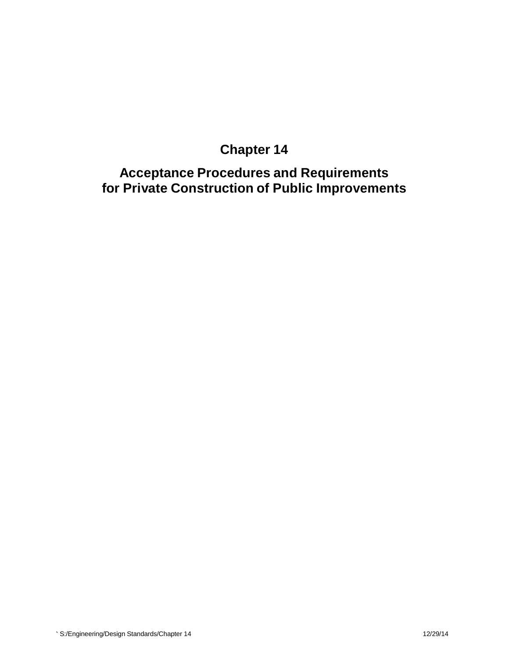# **Chapter 14**

**Acceptance Procedures and Requirements for Private Construction of Public Improvements**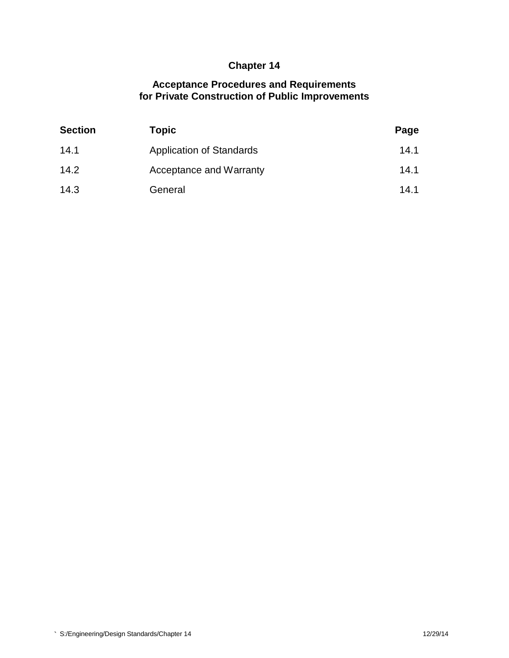## **Chapter 14**

## **Acceptance Procedures and Requirements for Private Construction of Public Improvements**

| <b>Section</b> | Topic                           | Page |
|----------------|---------------------------------|------|
| 14.1           | <b>Application of Standards</b> | 14.1 |
| 14.2           | Acceptance and Warranty         | 14.1 |
| 14.3           | General                         | 14.1 |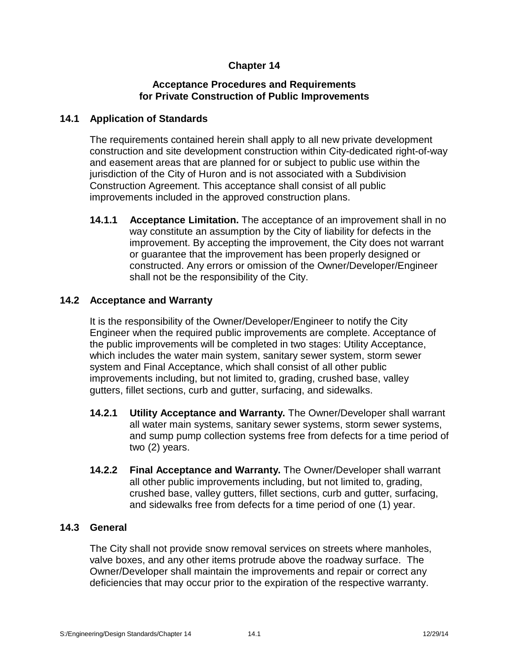## **Chapter 14**

#### **Acceptance Procedures and Requirements for Private Construction of Public Improvements**

#### **14.1 Application of Standards**

The requirements contained herein shall apply to all new private development construction and site development construction within City-dedicated right-of-way and easement areas that are planned for or subject to public use within the jurisdiction of the City of Huron and is not associated with a Subdivision Construction Agreement. This acceptance shall consist of all public improvements included in the approved construction plans.

**14.1.1 Acceptance Limitation.** The acceptance of an improvement shall in no way constitute an assumption by the City of liability for defects in the improvement. By accepting the improvement, the City does not warrant or guarantee that the improvement has been properly designed or constructed. Any errors or omission of the Owner/Developer/Engineer shall not be the responsibility of the City.

#### **14.2 Acceptance and Warranty**

It is the responsibility of the Owner/Developer/Engineer to notify the City Engineer when the required public improvements are complete. Acceptance of the public improvements will be completed in two stages: Utility Acceptance, which includes the water main system, sanitary sewer system, storm sewer system and Final Acceptance, which shall consist of all other public improvements including, but not limited to, grading, crushed base, valley gutters, fillet sections, curb and gutter, surfacing, and sidewalks.

- **14.2.1 Utility Acceptance and Warranty.** The Owner/Developer shall warrant all water main systems, sanitary sewer systems, storm sewer systems, and sump pump collection systems free from defects for a time period of two (2) years.
- **14.2.2 Final Acceptance and Warranty.** The Owner/Developer shall warrant all other public improvements including, but not limited to, grading, crushed base, valley gutters, fillet sections, curb and gutter, surfacing, and sidewalks free from defects for a time period of one (1) year.

#### **14.3 General**

The City shall not provide snow removal services on streets where manholes, valve boxes, and any other items protrude above the roadway surface. The Owner/Developer shall maintain the improvements and repair or correct any deficiencies that may occur prior to the expiration of the respective warranty.